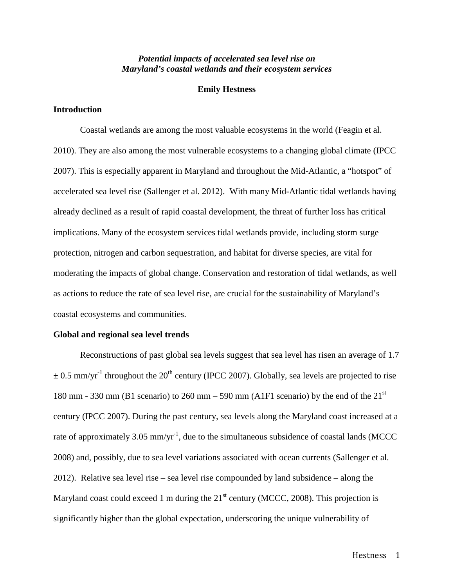## *Potential impacts of accelerated sea level rise on Maryland's coastal wetlands and their ecosystem services*

## **Emily Hestness**

# **Introduction**

Coastal wetlands are among the most valuable ecosystems in the world (Feagin et al. 2010). They are also among the most vulnerable ecosystems to a changing global climate (IPCC 2007). This is especially apparent in Maryland and throughout the Mid-Atlantic, a "hotspot" of accelerated sea level rise (Sallenger et al. 2012). With many Mid-Atlantic tidal wetlands having already declined as a result of rapid coastal development, the threat of further loss has critical implications. Many of the ecosystem services tidal wetlands provide, including storm surge protection, nitrogen and carbon sequestration, and habitat for diverse species, are vital for moderating the impacts of global change. Conservation and restoration of tidal wetlands, as well as actions to reduce the rate of sea level rise, are crucial for the sustainability of Maryland's coastal ecosystems and communities.

#### **Global and regional sea level trends**

Reconstructions of past global sea levels suggest that sea level has risen an average of 1.7  $\pm$  0.5 mm/yr<sup>-1</sup> throughout the 20<sup>th</sup> century (IPCC 2007). Globally, sea levels are projected to rise 180 mm - 330 mm (B1 scenario) to 260 mm – 590 mm (A1F1 scenario) by the end of the  $21<sup>st</sup>$ century (IPCC 2007). During the past century, sea levels along the Maryland coast increased at a rate of approximately 3.05 mm/yr<sup>-1</sup>, due to the simultaneous subsidence of coastal lands (MCCC 2008) and, possibly, due to sea level variations associated with ocean currents (Sallenger et al. 2012). Relative sea level rise – sea level rise compounded by land subsidence – along the Maryland coast could exceed 1 m during the  $21<sup>st</sup>$  century (MCCC, 2008). This projection is significantly higher than the global expectation, underscoring the unique vulnerability of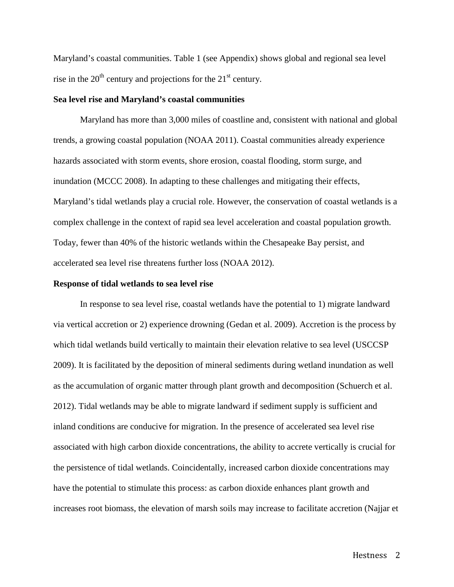Maryland's coastal communities. Table 1 (see Appendix) shows global and regional sea level rise in the  $20<sup>th</sup>$  century and projections for the  $21<sup>st</sup>$  century.

#### **Sea level rise and Maryland's coastal communities**

Maryland has more than 3,000 miles of coastline and, consistent with national and global trends, a growing coastal population (NOAA 2011). Coastal communities already experience hazards associated with storm events, shore erosion, coastal flooding, storm surge, and inundation (MCCC 2008). In adapting to these challenges and mitigating their effects, Maryland's tidal wetlands play a crucial role. However, the conservation of coastal wetlands is a complex challenge in the context of rapid sea level acceleration and coastal population growth. Today, fewer than 40% of the historic wetlands within the Chesapeake Bay persist, and accelerated sea level rise threatens further loss (NOAA 2012).

#### **Response of tidal wetlands to sea level rise**

In response to sea level rise, coastal wetlands have the potential to 1) migrate landward via vertical accretion or 2) experience drowning (Gedan et al. 2009). Accretion is the process by which tidal wetlands build vertically to maintain their elevation relative to sea level (USCCSP 2009). It is facilitated by the deposition of mineral sediments during wetland inundation as well as the accumulation of organic matter through plant growth and decomposition (Schuerch et al. 2012). Tidal wetlands may be able to migrate landward if sediment supply is sufficient and inland conditions are conducive for migration. In the presence of accelerated sea level rise associated with high carbon dioxide concentrations, the ability to accrete vertically is crucial for the persistence of tidal wetlands. Coincidentally, increased carbon dioxide concentrations may have the potential to stimulate this process: as carbon dioxide enhances plant growth and increases root biomass, the elevation of marsh soils may increase to facilitate accretion (Najjar et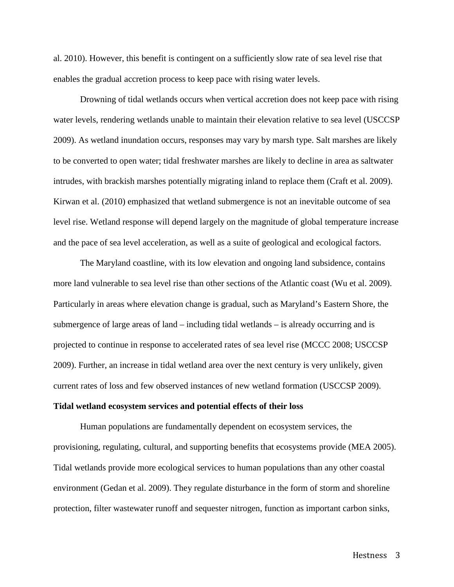al. 2010). However, this benefit is contingent on a sufficiently slow rate of sea level rise that enables the gradual accretion process to keep pace with rising water levels.

Drowning of tidal wetlands occurs when vertical accretion does not keep pace with rising water levels, rendering wetlands unable to maintain their elevation relative to sea level (USCCSP 2009). As wetland inundation occurs, responses may vary by marsh type. Salt marshes are likely to be converted to open water; tidal freshwater marshes are likely to decline in area as saltwater intrudes, with brackish marshes potentially migrating inland to replace them (Craft et al. 2009). Kirwan et al. (2010) emphasized that wetland submergence is not an inevitable outcome of sea level rise. Wetland response will depend largely on the magnitude of global temperature increase and the pace of sea level acceleration, as well as a suite of geological and ecological factors.

The Maryland coastline, with its low elevation and ongoing land subsidence, contains more land vulnerable to sea level rise than other sections of the Atlantic coast (Wu et al. 2009). Particularly in areas where elevation change is gradual, such as Maryland's Eastern Shore, the submergence of large areas of land – including tidal wetlands – is already occurring and is projected to continue in response to accelerated rates of sea level rise (MCCC 2008; USCCSP 2009). Further, an increase in tidal wetland area over the next century is very unlikely, given current rates of loss and few observed instances of new wetland formation (USCCSP 2009).

#### **Tidal wetland ecosystem services and potential effects of their loss**

Human populations are fundamentally dependent on ecosystem services, the provisioning, regulating, cultural, and supporting benefits that ecosystems provide (MEA 2005). Tidal wetlands provide more ecological services to human populations than any other coastal environment (Gedan et al. 2009). They regulate disturbance in the form of storm and shoreline protection, filter wastewater runoff and sequester nitrogen, function as important carbon sinks,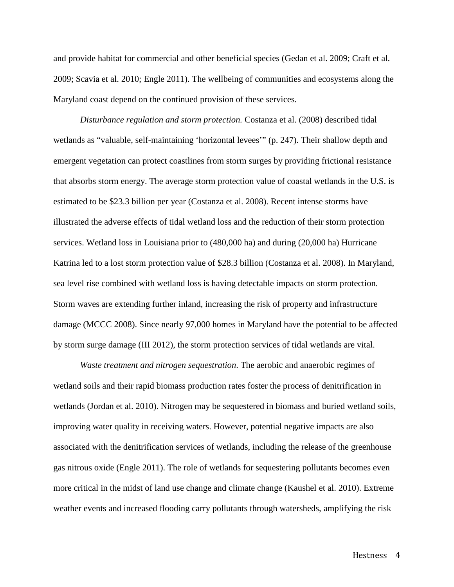and provide habitat for commercial and other beneficial species (Gedan et al. 2009; Craft et al. 2009; Scavia et al. 2010; Engle 2011). The wellbeing of communities and ecosystems along the Maryland coast depend on the continued provision of these services.

*Disturbance regulation and storm protection.* Costanza et al. (2008) described tidal wetlands as "valuable, self-maintaining 'horizontal levees'" (p. 247). Their shallow depth and emergent vegetation can protect coastlines from storm surges by providing frictional resistance that absorbs storm energy. The average storm protection value of coastal wetlands in the U.S. is estimated to be \$23.3 billion per year (Costanza et al. 2008). Recent intense storms have illustrated the adverse effects of tidal wetland loss and the reduction of their storm protection services. Wetland loss in Louisiana prior to (480,000 ha) and during (20,000 ha) Hurricane Katrina led to a lost storm protection value of \$28.3 billion (Costanza et al. 2008). In Maryland, sea level rise combined with wetland loss is having detectable impacts on storm protection. Storm waves are extending further inland, increasing the risk of property and infrastructure damage (MCCC 2008). Since nearly 97,000 homes in Maryland have the potential to be affected by storm surge damage (III 2012), the storm protection services of tidal wetlands are vital.

*Waste treatment and nitrogen sequestration*. The aerobic and anaerobic regimes of wetland soils and their rapid biomass production rates foster the process of denitrification in wetlands (Jordan et al. 2010). Nitrogen may be sequestered in biomass and buried wetland soils, improving water quality in receiving waters. However, potential negative impacts are also associated with the denitrification services of wetlands, including the release of the greenhouse gas nitrous oxide (Engle 2011). The role of wetlands for sequestering pollutants becomes even more critical in the midst of land use change and climate change (Kaushel et al. 2010). Extreme weather events and increased flooding carry pollutants through watersheds, amplifying the risk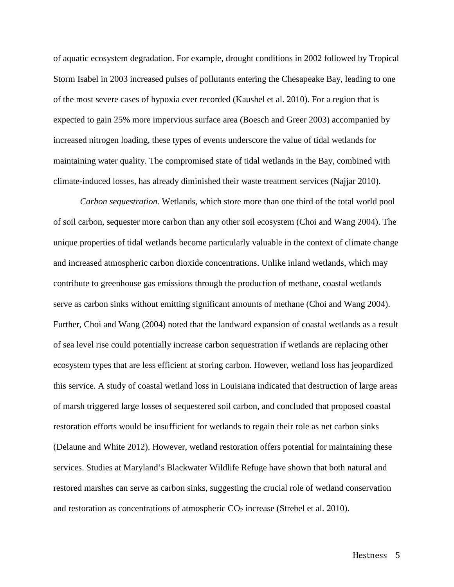of aquatic ecosystem degradation. For example, drought conditions in 2002 followed by Tropical Storm Isabel in 2003 increased pulses of pollutants entering the Chesapeake Bay, leading to one of the most severe cases of hypoxia ever recorded (Kaushel et al. 2010). For a region that is expected to gain 25% more impervious surface area (Boesch and Greer 2003) accompanied by increased nitrogen loading, these types of events underscore the value of tidal wetlands for maintaining water quality. The compromised state of tidal wetlands in the Bay, combined with climate-induced losses, has already diminished their waste treatment services (Najjar 2010).

*Carbon sequestration*. Wetlands, which store more than one third of the total world pool of soil carbon, sequester more carbon than any other soil ecosystem (Choi and Wang 2004). The unique properties of tidal wetlands become particularly valuable in the context of climate change and increased atmospheric carbon dioxide concentrations. Unlike inland wetlands, which may contribute to greenhouse gas emissions through the production of methane, coastal wetlands serve as carbon sinks without emitting significant amounts of methane (Choi and Wang 2004). Further, Choi and Wang (2004) noted that the landward expansion of coastal wetlands as a result of sea level rise could potentially increase carbon sequestration if wetlands are replacing other ecosystem types that are less efficient at storing carbon. However, wetland loss has jeopardized this service. A study of coastal wetland loss in Louisiana indicated that destruction of large areas of marsh triggered large losses of sequestered soil carbon, and concluded that proposed coastal restoration efforts would be insufficient for wetlands to regain their role as net carbon sinks (Delaune and White 2012). However, wetland restoration offers potential for maintaining these services. Studies at Maryland's Blackwater Wildlife Refuge have shown that both natural and restored marshes can serve as carbon sinks, suggesting the crucial role of wetland conservation and restoration as concentrations of atmospheric  $CO_2$  increase (Strebel et al. 2010).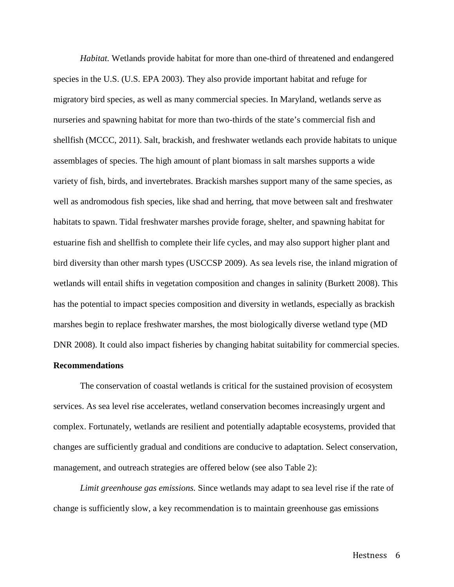*Habitat.* Wetlands provide habitat for more than one-third of threatened and endangered species in the U.S. (U.S. EPA 2003). They also provide important habitat and refuge for migratory bird species, as well as many commercial species. In Maryland, wetlands serve as nurseries and spawning habitat for more than two-thirds of the state's commercial fish and shellfish (MCCC, 2011). Salt, brackish, and freshwater wetlands each provide habitats to unique assemblages of species. The high amount of plant biomass in salt marshes supports a wide variety of fish, birds, and invertebrates. Brackish marshes support many of the same species, as well as andromodous fish species, like shad and herring, that move between salt and freshwater habitats to spawn. Tidal freshwater marshes provide forage, shelter, and spawning habitat for estuarine fish and shellfish to complete their life cycles, and may also support higher plant and bird diversity than other marsh types (USCCSP 2009). As sea levels rise, the inland migration of wetlands will entail shifts in vegetation composition and changes in salinity (Burkett 2008). This has the potential to impact species composition and diversity in wetlands, especially as brackish marshes begin to replace freshwater marshes, the most biologically diverse wetland type (MD DNR 2008). It could also impact fisheries by changing habitat suitability for commercial species.

### **Recommendations**

The conservation of coastal wetlands is critical for the sustained provision of ecosystem services. As sea level rise accelerates, wetland conservation becomes increasingly urgent and complex. Fortunately, wetlands are resilient and potentially adaptable ecosystems, provided that changes are sufficiently gradual and conditions are conducive to adaptation. Select conservation, management, and outreach strategies are offered below (see also Table 2):

*Limit greenhouse gas emissions.* Since wetlands may adapt to sea level rise if the rate of change is sufficiently slow, a key recommendation is to maintain greenhouse gas emissions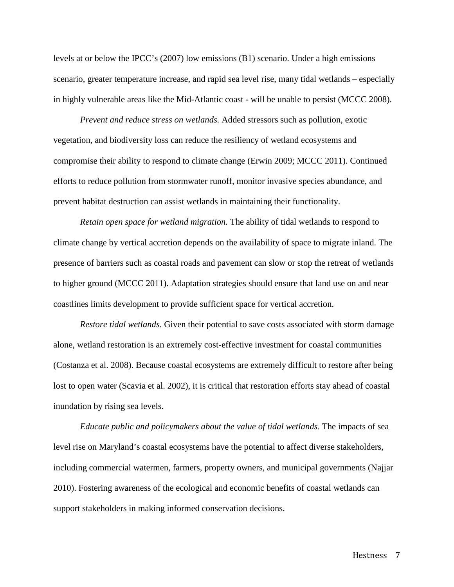levels at or below the IPCC's (2007) low emissions (B1) scenario. Under a high emissions scenario, greater temperature increase, and rapid sea level rise, many tidal wetlands – especially in highly vulnerable areas like the Mid-Atlantic coast - will be unable to persist (MCCC 2008).

*Prevent and reduce stress on wetlands.* Added stressors such as pollution, exotic vegetation, and biodiversity loss can reduce the resiliency of wetland ecosystems and compromise their ability to respond to climate change (Erwin 2009; MCCC 2011). Continued efforts to reduce pollution from stormwater runoff, monitor invasive species abundance, and prevent habitat destruction can assist wetlands in maintaining their functionality.

*Retain open space for wetland migration.* The ability of tidal wetlands to respond to climate change by vertical accretion depends on the availability of space to migrate inland. The presence of barriers such as coastal roads and pavement can slow or stop the retreat of wetlands to higher ground (MCCC 2011). Adaptation strategies should ensure that land use on and near coastlines limits development to provide sufficient space for vertical accretion.

*Restore tidal wetlands*. Given their potential to save costs associated with storm damage alone, wetland restoration is an extremely cost-effective investment for coastal communities (Costanza et al. 2008). Because coastal ecosystems are extremely difficult to restore after being lost to open water (Scavia et al. 2002), it is critical that restoration efforts stay ahead of coastal inundation by rising sea levels.

*Educate public and policymakers about the value of tidal wetlands*. The impacts of sea level rise on Maryland's coastal ecosystems have the potential to affect diverse stakeholders, including commercial watermen, farmers, property owners, and municipal governments (Najjar 2010). Fostering awareness of the ecological and economic benefits of coastal wetlands can support stakeholders in making informed conservation decisions.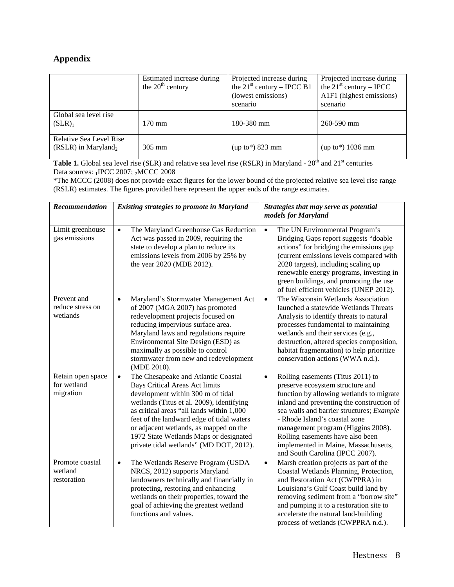# **Appendix**

|                                                            | Estimated increase during<br>the $20th$ century | Projected increase during<br>the $21^{\text{st}}$ century – IPCC B1<br>(lowest emissions)<br>scenario | Projected increase during<br>the $21^{\text{st}}$ century – IPCC<br>A1F1 (highest emissions)<br>scenario |
|------------------------------------------------------------|-------------------------------------------------|-------------------------------------------------------------------------------------------------------|----------------------------------------------------------------------------------------------------------|
| Global sea level rise<br>$(SLR)_1$                         | $170 \text{ mm}$                                | 180-380 mm                                                                                            | $260 - 590$ mm                                                                                           |
| Relative Sea Level Rise<br>(RSLR) in Maryland <sub>2</sub> | $305 \text{ mm}$                                | $(up to*)$ 823 mm                                                                                     | $(up to*) 1036 mm$                                                                                       |

**Table 1.** Global sea level rise (SLR) and relative sea level rise (RSLR) in Maryland - 20<sup>th</sup> and 21<sup>st</sup> centuries Data sources: 1IPCC 2007; 2MCCC 2008

\*The MCCC (2008) does not provide exact figures for the lower bound of the projected relative sea level rise range (RSLR) estimates. The figures provided here represent the upper ends of the range estimates.

| Recommendation                                | <b>Existing strategies to promote in Maryland</b>                                                                                                                                                                                                                                                                                                                                                    | Strategies that may serve as potential<br>models for Maryland                                                                                                                                                                                                                                                                                                                                                  |  |
|-----------------------------------------------|------------------------------------------------------------------------------------------------------------------------------------------------------------------------------------------------------------------------------------------------------------------------------------------------------------------------------------------------------------------------------------------------------|----------------------------------------------------------------------------------------------------------------------------------------------------------------------------------------------------------------------------------------------------------------------------------------------------------------------------------------------------------------------------------------------------------------|--|
| Limit greenhouse<br>gas emissions             | The Maryland Greenhouse Gas Reduction<br>$\bullet$<br>Act was passed in 2009, requiring the<br>state to develop a plan to reduce its<br>emissions levels from 2006 by 25% by<br>the year 2020 (MDE 2012).                                                                                                                                                                                            | The UN Environmental Program's<br>$\bullet$<br>Bridging Gaps report suggests "doable<br>actions" for bridging the emissions gap<br>(current emissions levels compared with<br>2020 targets), including scaling up<br>renewable energy programs, investing in<br>green buildings, and promoting the use<br>of fuel efficient vehicles (UNEP 2012).                                                              |  |
| Prevent and<br>reduce stress on<br>wetlands   | Maryland's Stormwater Management Act<br>$\bullet$<br>of 2007 (MGA 2007) has promoted<br>redevelopment projects focused on<br>reducing impervious surface area.<br>Maryland laws and regulations require<br>Environmental Site Design (ESD) as<br>maximally as possible to control<br>stormwater from new and redevelopment<br>(MDE 2010).                                                            | The Wisconsin Wetlands Association<br>$\bullet$<br>launched a statewide Wetlands Threats<br>Analysis to identify threats to natural<br>processes fundamental to maintaining<br>wetlands and their services (e.g.,<br>destruction, altered species composition,<br>habitat fragmentation) to help prioritize<br>conservation actions (WWA n.d.).                                                                |  |
| Retain open space<br>for wetland<br>migration | The Chesapeake and Atlantic Coastal<br>$\bullet$<br><b>Bays Critical Areas Act limits</b><br>development within 300 m of tidal<br>wetlands (Titus et al. 2009), identifying<br>as critical areas "all lands within 1,000<br>feet of the landward edge of tidal waters<br>or adjacent wetlands, as mapped on the<br>1972 State Wetlands Maps or designated<br>private tidal wetlands" (MD DOT, 2012). | Rolling easements (Titus 2011) to<br>$\bullet$<br>preserve ecosystem structure and<br>function by allowing wetlands to migrate<br>inland and preventing the construction of<br>sea walls and barrier structures; Example<br>- Rhode Island's coastal zone<br>management program (Higgins 2008).<br>Rolling easements have also been<br>implemented in Maine, Massachusetts,<br>and South Carolina (IPCC 2007). |  |
| Promote coastal<br>wetland<br>restoration     | The Wetlands Reserve Program (USDA<br>$\bullet$<br>NRCS, 2012) supports Maryland<br>landowners technically and financially in<br>protecting, restoring and enhancing<br>wetlands on their properties, toward the<br>goal of achieving the greatest wetland<br>functions and values.                                                                                                                  | Marsh creation projects as part of the<br>$\bullet$<br>Coastal Wetlands Planning, Protection,<br>and Restoration Act (CWPPRA) in<br>Louisiana's Gulf Coast build land by<br>removing sediment from a "borrow site"<br>and pumping it to a restoration site to<br>accelerate the natural land-building<br>process of wetlands (CWPPRA n.d.).                                                                    |  |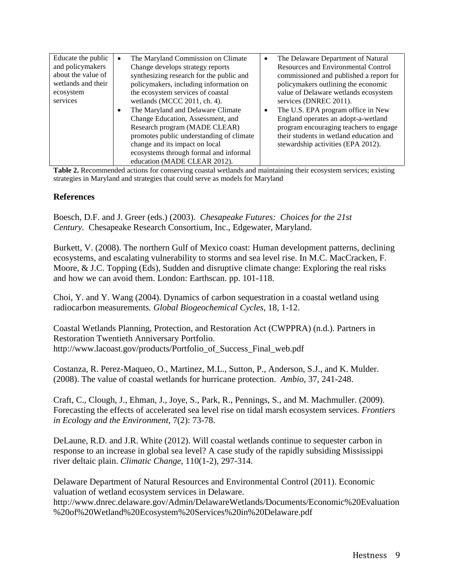| Educate the public | $\bullet$ | The Maryland Commission on Climate       | $\bullet$ | The Delaware Department of Natural         |
|--------------------|-----------|------------------------------------------|-----------|--------------------------------------------|
| and policymakers   |           | Change develops strategy reports         |           | <b>Resources and Environmental Control</b> |
| about the value of |           | synthesizing research for the public and |           | commissioned and published a report for    |
| wetlands and their |           | policymakers, including information on   |           | policymakers outlining the economic        |
| ecosystem          |           | the ecosystem services of coastal        |           | value of Delaware wetlands ecosystem       |
| services           |           | wetlands (MCCC 2011, ch. 4).             |           | services (DNREC 2011).                     |
|                    |           | The Maryland and Delaware Climate        | $\bullet$ | The U.S. EPA program office in New         |
|                    |           | Change Education, Assessment, and        |           | England operates an adopt-a-wetland        |
|                    |           | Research program (MADE CLEAR)            |           | program encouraging teachers to engage     |
|                    |           | promotes public understanding of climate |           | their students in wetland education and    |
|                    |           | change and its impact on local           |           | stewardship activities (EPA 2012).         |
|                    |           | ecosystems through formal and informal   |           |                                            |
|                    |           | education (MADE CLEAR 2012).             |           |                                            |

**Table 2.** Recommended actions for conserving coastal wetlands and maintaining their ecosystem services; existing strategies in Maryland and strategies that could serve as models for Maryland

# **References**

Boesch, D.F. and J. Greer (eds.) (2003). *Chesapeake Futures: Choices for the 21st Century.* Chesapeake Research Consortium, Inc., Edgewater, Maryland.

Burkett, V. (2008). The northern Gulf of Mexico coast: Human development patterns, declining ecosystems, and escalating vulnerability to storms and sea level rise. In M.C. MacCracken, F. Moore, & J.C. Topping (Eds), Sudden and disruptive climate change: Exploring the real risks and how we can avoid them. London: Earthscan. pp. 101-118.

Choi, Y. and Y. Wang (2004). Dynamics of carbon sequestration in a coastal wetland using radiocarbon measurements*. Global Biogeochemical Cycles*, 18, 1-12.

Coastal Wetlands Planning, Protection, and Restoration Act (CWPPRA) (n.d.). Partners in Restoration Twentieth Anniversary Portfolio. http://www.lacoast.gov/products/Portfolio\_of\_Success\_Final\_web.pdf

Costanza, R. Perez-Maqueo, O., Martinez, M.L., Sutton, P., Anderson, S.J., and K. Mulder. (2008). The value of coastal wetlands for hurricane protection. *Ambio*, 37, 241-248.

Craft, C., Clough, J., Ehman, J., Joye, S., Park, R., Pennings, S., and M. Machmuller. (2009). Forecasting the effects of accelerated sea level rise on tidal marsh ecosystem services. *Frontiers in Ecology and the Environment,* 7(2): 73-78.

DeLaune, R.D. and J.R. White (2012). Will coastal wetlands continue to sequester carbon in response to an increase in global sea level? A case study of the rapidly subsiding Mississippi river deltaic plain. *Climatic Change*, 110(1-2), 297-314.

Delaware Department of Natural Resources and Environmental Control (2011). Economic valuation of wetland ecosystem services in Delaware.

http://www.dnrec.delaware.gov/Admin/DelawareWetlands/Documents/Economic%20Evaluation %20of%20Wetland%20Ecosystem%20Services%20in%20Delaware.pdf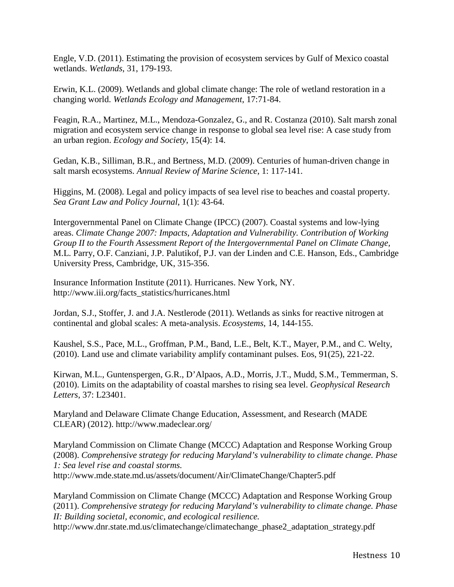Engle, V.D. (2011). Estimating the provision of ecosystem services by Gulf of Mexico coastal wetlands. *Wetlands*, 31, 179-193.

Erwin, K.L. (2009). Wetlands and global climate change: The role of wetland restoration in a changing world. *Wetlands Ecology and Management*, 17:71-84.

Feagin, R.A., Martinez, M.L., Mendoza-Gonzalez, G., and R. Costanza (2010). Salt marsh zonal migration and ecosystem service change in response to global sea level rise: A case study from an urban region. *Ecology and Society*, 15(4): 14.

Gedan, K.B., Silliman, B.R., and Bertness, M.D. (2009). Centuries of human-driven change in salt marsh ecosystems. *Annual Review of Marine Science*, 1: 117-141.

Higgins, M. (2008). Legal and policy impacts of sea level rise to beaches and coastal property. *Sea Grant Law and Policy Journal*, 1(1): 43-64.

Intergovernmental Panel on Climate Change (IPCC) (2007). Coastal systems and low-lying areas. *Climate Change 2007: Impacts, Adaptation and Vulnerability. Contribution of Working Group II to the Fourth Assessment Report of the Intergovernmental Panel on Climate Change,*  M.L. Parry, O.F. Canziani, J.P. Palutikof, P.J. van der Linden and C.E. Hanson, Eds., Cambridge University Press, Cambridge, UK, 315-356.

Insurance Information Institute (2011). Hurricanes. New York, NY. http://www.iii.org/facts\_statistics/hurricanes.html

Jordan, S.J., Stoffer, J. and J.A. Nestlerode (2011). Wetlands as sinks for reactive nitrogen at continental and global scales: A meta-analysis. *Ecosystems*, 14, 144-155.

Kaushel, S.S., Pace, M.L., Groffman, P.M., Band, L.E., Belt, K.T., Mayer, P.M., and C. Welty, (2010). Land use and climate variability amplify contaminant pulses. Eos, 91(25), 221-22.

Kirwan, M.L., Guntenspergen, G.R., D'Alpaos, A.D., Morris, J.T., Mudd, S.M., Temmerman, S. (2010). Limits on the adaptability of coastal marshes to rising sea level. *Geophysical Research Letters*, 37: L23401.

Maryland and Delaware Climate Change Education, Assessment, and Research (MADE CLEAR) (2012). http://www.madeclear.org/

Maryland Commission on Climate Change (MCCC) Adaptation and Response Working Group (2008). *Comprehensive strategy for reducing Maryland's vulnerability to climate change. Phase 1: Sea level rise and coastal storms.* http://www.mde.state.md.us/assets/document/Air/ClimateChange/Chapter5.pdf

Maryland Commission on Climate Change (MCCC) Adaptation and Response Working Group (2011). *Comprehensive strategy for reducing Maryland's vulnerability to climate change. Phase II: Building societal, economic, and ecological resilience.*

http://www.dnr.state.md.us/climatechange/climatechange\_phase2\_adaptation\_strategy.pdf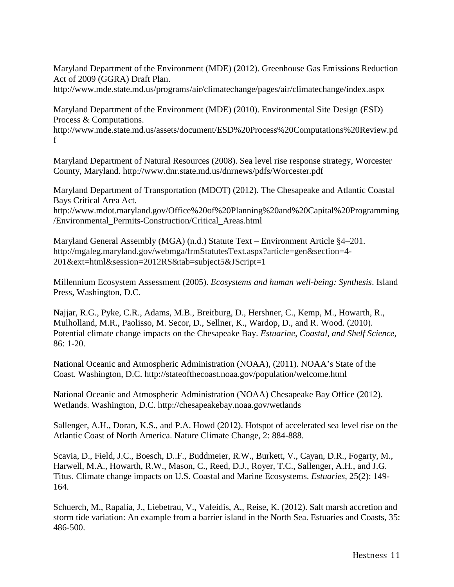Maryland Department of the Environment (MDE) (2012). Greenhouse Gas Emissions Reduction Act of 2009 (GGRA) Draft Plan.

http://www.mde.state.md.us/programs/air/climatechange/pages/air/climatechange/index.aspx

Maryland Department of the Environment (MDE) (2010). Environmental Site Design (ESD) Process & Computations.

http://www.mde.state.md.us/assets/document/ESD%20Process%20Computations%20Review.pd f

Maryland Department of Natural Resources (2008). Sea level rise response strategy, Worcester County, Maryland. http://www.dnr.state.md.us/dnrnews/pdfs/Worcester.pdf

Maryland Department of Transportation (MDOT) (2012). The Chesapeake and Atlantic Coastal Bays Critical Area Act. http://www.mdot.maryland.gov/Office%20of%20Planning%20and%20Capital%20Programming

/Environmental\_Permits-Construction/Critical\_Areas.html

Maryland General Assembly (MGA) (n.d.) Statute Text – Environment Article §4–201. http://mgaleg.maryland.gov/webmga/frmStatutesText.aspx?article=gen&section=4-201&ext=html&session=2012RS&tab=subject5&JScript=1

Millennium Ecosystem Assessment (2005). *Ecosystems and human well-being: Synthesis*. Island Press, Washington, D.C.

Najjar, R.G., Pyke, C.R., Adams, M.B., Breitburg, D., Hershner, C., Kemp, M., Howarth, R., Mulholland, M.R., Paolisso, M. Secor, D., Sellner, K., Wardop, D., and R. Wood. (2010). Potential climate change impacts on the Chesapeake Bay. *Estuarine, Coastal, and Shelf Science*, 86: 1-20.

National Oceanic and Atmospheric Administration (NOAA), (2011). NOAA's State of the Coast. Washington, D.C. http://stateofthecoast.noaa.gov/population/welcome.html

National Oceanic and Atmospheric Administration (NOAA) Chesapeake Bay Office (2012). Wetlands. Washington, D.C. http://chesapeakebay.noaa.gov/wetlands

Sallenger, A.H., Doran, K.S., and P.A. Howd (2012). Hotspot of accelerated sea level rise on the Atlantic Coast of North America. Nature Climate Change, 2: 884-888.

Scavia, D., Field, J.C., Boesch, D..F., Buddmeier, R.W., Burkett, V., Cayan, D.R., Fogarty, M., Harwell, M.A., Howarth, R.W., Mason, C., Reed, D.J., Royer, T.C., Sallenger, A.H., and J.G. Titus. Climate change impacts on U.S. Coastal and Marine Ecosystems. *Estuaries*, 25(2): 149- 164.

Schuerch, M., Rapalia, J., Liebetrau, V., Vafeidis, A., Reise, K. (2012). Salt marsh accretion and storm tide variation: An example from a barrier island in the North Sea. Estuaries and Coasts, 35: 486-500.